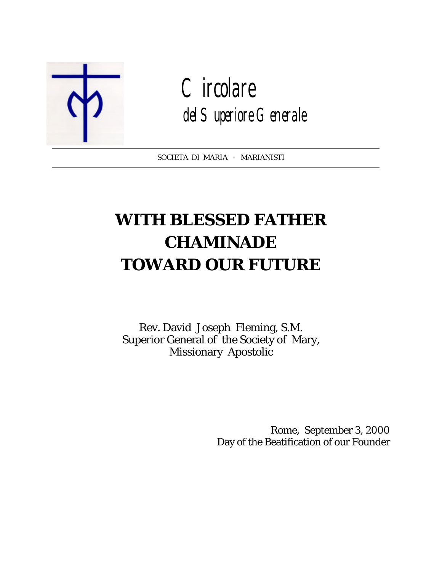

**Circolare** del Superiore Generale

SOCIETA DI MARIA - MARIANISTI  $\overline{a}$ 

# **WITH BLESSED FATHER CHAMINADE TOWARD OUR FUTURE**

Rev. David Joseph Fleming, S.M. Superior General of the Society of Mary, Missionary Apostolic

> Rome, September 3, 2000 Day of the Beatification of our Founder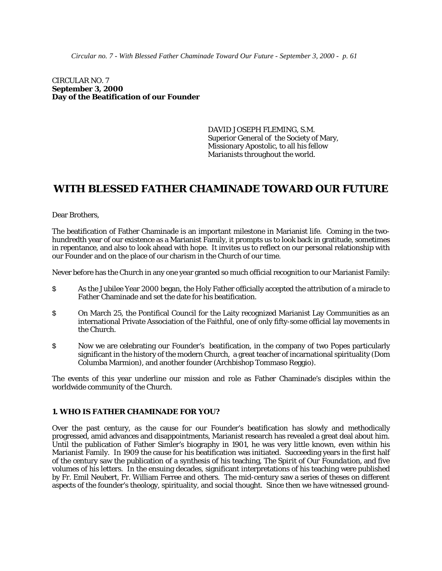CIRCULAR NO. 7 **September 3, 2000 Day of the Beatification of our Founder**

> DAVID JOSEPH FLEMING, S.M. Superior General of the Society of Mary, Missionary Apostolic, to all his fellow Marianists throughout the world.

# **WITH BLESSED FATHER CHAMINADE TOWARD OUR FUTURE**

Dear Brothers,

The beatification of Father Chaminade is an important milestone in Marianist life. Coming in the twohundredth year of our existence as a Marianist Family, it prompts us to look back in gratitude, sometimes in repentance, and also to look ahead with hope. It invites us to reflect on our personal relationship with our Founder and on the place of our charism in the Church of our time.

Never before has the Church in any one year granted so much official recognition to our Marianist Family:

- \$ As the Jubilee Year 2000 began, the Holy Father officially accepted the attribution of a miracle to Father Chaminade and set the date for his beatification.
- \$ On March 25, the Pontifical Council for the Laity recognized Marianist Lay Communities as an international Private Association of the Faithful, one of only fifty-some official lay movements in the Church.
- \$ Now we are celebrating our Founder's beatification, in the company of two Popes particularly significant in the history of the modern Church, a great teacher of incarnational spirituality (Dom Columba Marmion), and another founder (Archbishop Tommaso Reggio).

The events of this year underline our mission and role as Father Chaminade's disciples within the worldwide community of the Church.

#### **1. WHO IS FATHER CHAMINADE FOR YOU?**

Over the past century, as the cause for our Founder's beatification has slowly and methodically progressed, amid advances and disappointments, Marianist research has revealed a great deal about him. Until the publication of Father Simler's biography in 1901, he was very little known, even within his Marianist Family. In 1909 the cause for his beatification was initiated. Succeeding years in the first half of the century saw the publication of a synthesis of his teaching, *The Spirit of Our Foundation*, and five volumes of his letters. In the ensuing decades, significant interpretations of his teaching were published by Fr. Emil Neubert, Fr. William Ferree and others. The mid-century saw a series of theses on different aspects of the founder's theology, spirituality, and social thought. Since then we have witnessed ground-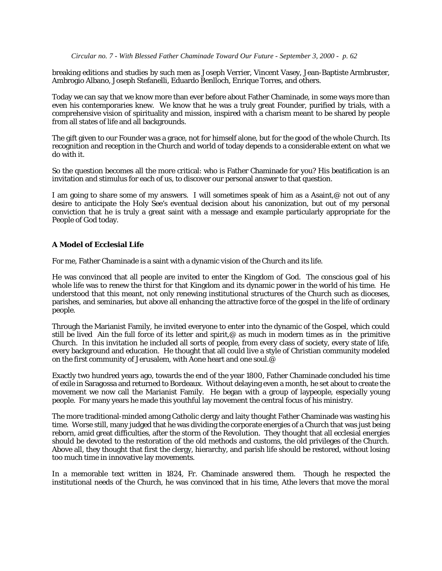breaking editions and studies by such men as Joseph Verrier, Vincent Vasey, Jean-Baptiste Armbruster, Ambrogio Albano, Joseph Stefanelli, Eduardo Benlloch, Enrique Torres, and others.

Today we can say that we know more than ever before about Father Chaminade, in some ways more than even his contemporaries knew. We know that he was a truly great Founder, purified by trials, with a comprehensive vision of spirituality and mission, inspired with a charism meant to be shared by people from all states of life and all backgrounds.

The gift given to our Founder was a grace, not for himself alone, but for the good of the whole Church. Its recognition and reception in the Church and world of today depends to a considerable extent on what we do with it.

So the question becomes all the more critical: who is Father Chaminade for you? His beatification is an invitation and stimulus for each of us, to discover our personal answer to that question.

I am going to share some of my answers. I will sometimes speak of him as a Asaint,@ not out of any desire to anticipate the Holy See's eventual decision about his canonization, but out of my personal conviction that he is truly a great saint with a message and example particularly appropriate for the People of God today.

# **A Model of Ecclesial Life**

For me, Father Chaminade is a saint with a dynamic vision of the Church and its life.

He was convinced that all people are invited to enter the Kingdom of God. The conscious goal of his whole life was to renew the thirst for that Kingdom and its dynamic power in the world of his time. He understood that this meant, not only renewing institutional structures of the Church such as dioceses, parishes, and seminaries, but above all enhancing the attractive force of the gospel in the life of ordinary people.

Through the Marianist Family, he invited everyone to enter into the dynamic of the Gospel, which could still be lived Ain the full force of its letter and spirit,  $\circledcirc$  as much in modern times as in the primitive Church. In this invitation he included all sorts of people, from every class of society, every state of life, every background and education. He thought that all could live a style of Christian community modeled on the first community of Jerusalem, with Aone heart and one soul.@

Exactly two hundred years ago, towards the end of the year 1800, Father Chaminade concluded his time of exile in Saragossa and returned to Bordeaux. Without delaying even a month, he set about to create the movement we now call the Marianist Family. He began with a group of laypeople, especially young people. For many years he made this youthful lay movement the central focus of his ministry.

The more traditional-minded among Catholic clergy and laity thought Father Chaminade was wasting his time. Worse still, many judged that he was dividing the corporate energies of a Church that was just being reborn, amid great difficulties, after the storm of the Revolution. They thought that all ecclesial energies should be devoted to the restoration of the old methods and customs, the old privileges of the Church. Above all, they thought that first the clergy, hierarchy, and parish life should be restored, without losing too much time in innovative lay movements.

In a memorable text written in 1824, Fr. Chaminade answered them. Though he respected the institutional needs of the Church, he was convinced that in his time, *Athe levers that move the moral*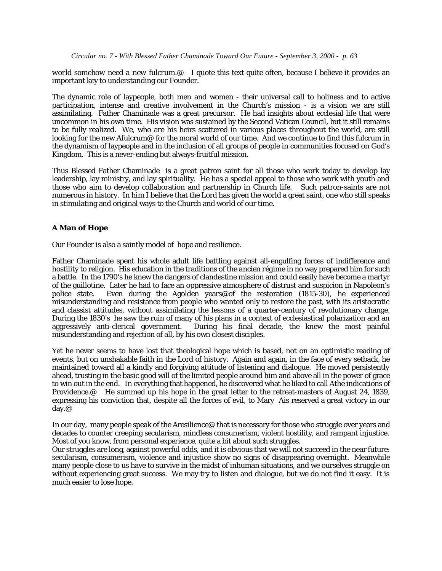*world somehow need a new fulcrum.@* I quote this text quite often, because I believe it provides an important key to understanding our Founder.

The dynamic role of laypeople, both men and women - their universal call to holiness and to active participation, intense and creative involvement in the Church's mission - is a vision we are still assimilating. Father Chaminade was a great precursor. He had insights about ecclesial life that were uncommon in his own time. His vision was sustained by the Second Vatican Council, but it still remains to be fully realized. We, who are his heirs scattered in various places throughout the world, are still looking for the new Afulcrum@ for the moral world of our time. And we continue to find this fulcrum in the dynamism of laypeople and in the inclusion of all groups of people in communities focused on God's Kingdom. This is a never-ending but always-fruitful mission.

Thus Blessed Father Chaminade is a great patron saint for all those who work today to develop lay leadership, lay ministry, and lay spirituality. He has a special appeal to those who work with youth and those who aim to develop collaboration and partnership in Church life. Such patron-saints are not numerous in history. In him I believe that the Lord has given the world a great saint, one who still speaks in stimulating and original ways to the Church and world of our time.

# **A Man of Hope**

Our Founder is also a saintly model of hope and resilience.

Father Chaminade spent his whole adult life battling against all-engulfing forces of indifference and hostility to religion. His education in the traditions of the *ancien régime* in no way prepared him for such a battle. In the 1790's he knew the dangers of clandestine mission and could easily have become a martyr of the guillotine. Later he had to face an oppressive atmosphere of distrust and suspicion in Napoleon's police state. Even during the Agolden years@of the restoration (1815-30), he experienced misunderstanding and resistance from people who wanted only to restore the past, with its aristocratic and classist attitudes, without assimilating the lessons of a quarter-century of revolutionary change. During the 1830's he saw the ruin of many of his plans in a context of ecclesiastical polarization and an aggressively anti-clerical government. During his final decade, the knew the most painful misunderstanding and rejection of all, by his own closest disciples.

Yet he never seems to have lost that theological hope which is based, not on an optimistic reading of events, but on unshakable faith in the Lord of history. Again and again, in the face of every setback, he maintained toward all a kindly and forgiving attitude of listening and dialogue. He moved persistently ahead, trusting in the basic good will of the limited people around him and above all in the power of grace to win out in the end. In everything that happened, he discovered what he liked to call Athe indications of Providence.@ He summed up his hope in the great letter to the retreat-masters of August 24, 1839, expressing his conviction that, despite all the forces of evil, to Mary Ais reserved a great victory in our day.@

In our day, many people speak of the Aresilience@ that is necessary for those who struggle over years and decades to counter creeping secularism, mindless consumerism, violent hostility, and rampant injustice. Most of you know, from personal experience, quite a bit about such struggles.

Our struggles are long, against powerful odds, and it is obvious that we will not succeed in the near future: secularism, consumerism, violence and injustice show no signs of disappearing overnight. Meanwhile many people close to us have to survive in the midst of inhuman situations, and we ourselves struggle on without experiencing great success. We may try to listen and dialogue, but we do not find it easy. It is much easier to lose hope.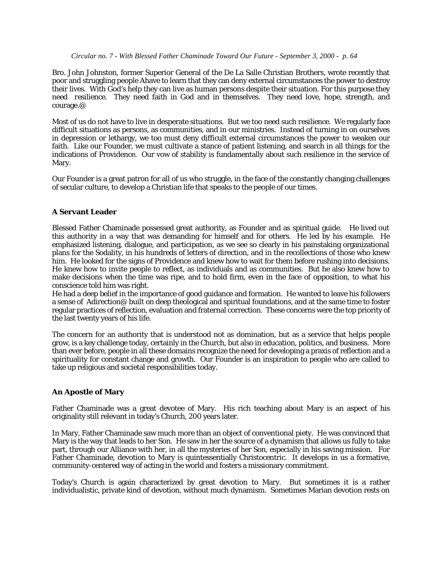Bro. John Johnston, former Superior General of the De La Salle Christian Brothers, wrote recently that poor and struggling people Ahave to learn that they can deny external circumstances the power to destroy their lives. With God's help they can live as human persons despite their situation. For this purpose they need *resilience*. They need faith in God and in themselves. They need love, hope, strength, and courage.@

Most of us do not have to live in desperate situations. But we too need such *resilience*. We regularly face difficult situations as persons, as communities, and in our ministries. Instead of turning in on ourselves in depression or lethargy, we too must deny difficult external circumstances the power to weaken our faith. Like our Founder, we must cultivate a stance of patient listening, and search in all things for the indications of Providence. Our vow of stability is fundamentally about such resilience in the service of Mary.

Our Founder is a great patron for all of us who struggle, in the face of the constantly changing challenges of secular culture, to develop a Christian life that speaks to the people of our times.

## **A Servant Leader**

Blessed Father Chaminade possessed great authority, as Founder and as spiritual guide. He lived out this authority in a way that was demanding for himself and for others. He led by his example. He emphasized listening, dialogue, and participation, as we see so clearly in his painstaking organizational plans for the Sodality, in his hundreds of letters of direction, and in the recollections of those who knew him. He looked for the signs of Providence and knew how to wait for them before rushing into decisions. He knew how to invite people to reflect, as individuals and as communities. But he also knew how to make decisions when the time was ripe, and to hold firm, even in the face of opposition, to what his conscience told him was right.

He had a deep belief in the importance of good guidance and formation. He wanted to leave his followers a sense of Adirection@ built on deep theological and spiritual foundations, and at the same time to foster regular practices of reflection, evaluation and fraternal correction. These concerns were the top priority of the last twenty years of his life.

The concern for an authority that is understood not as domination, but as a service that helps people grow, is a key challenge today, certainly in the Church, but also in education, politics, and business. More than ever before, people in all these domains recognize the need for developing a praxis of reflection and a spirituality for constant change and growth. Our Founder is an inspiration to people who are called to take up religious and societal responsibilities today.

# **An Apostle of Mary**

Father Chaminade was a great devotee of Mary. His rich teaching about Mary is an aspect of his originality still relevant in today's Church, 200 years later.

In Mary, Father Chaminade saw much more than an object of conventional piety. He was convinced that Mary is the way that leads to her Son. He saw in her the source of a dynamism that allows us fully to take part, through our Alliance with her, in all the mysteries of her Son, especially in his saving mission. For Father Chaminade, devotion to Mary is quintessentially Christocentric. It develops in us a formative, community-centered way of acting in the world and fosters a missionary commitment.

Today's Church is again characterized by great devotion to Mary. But sometimes it is a rather individualistic, private kind of devotion, without much dynamism. Sometimes Marian devotion rests on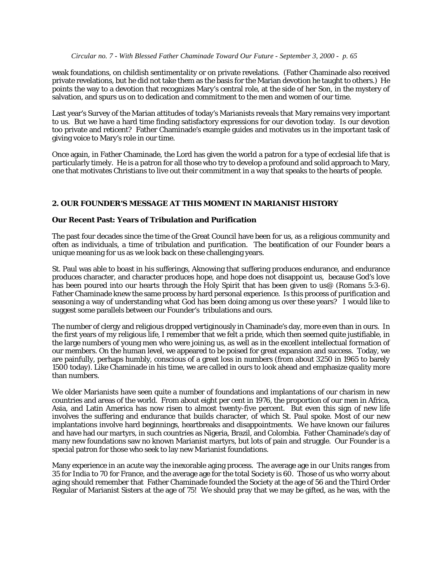weak foundations, on childish sentimentality or on private revelations. (Father Chaminade also received private revelations, but he did not take them as the basis for the Marian devotion he taught to others.) He points the way to a devotion that recognizes Mary's central role, at the side of her Son, in the mystery of salvation, and spurs us on to dedication and commitment to the men and women of our time.

Last year's Survey of the Marian attitudes of today's Marianists reveals that Mary remains very important to us. But we have a hard time finding satisfactory expressions for our devotion today. Is our devotion too private and reticent? Father Chaminade's example guides and motivates us in the important task of giving voice to Mary's role in our time.

Once again, in Father Chaminade, the Lord has given the world a patron for a type of ecclesial life that is particularly timely. He is a patron for all those who try to develop a profound and solid approach to Mary, one that motivates Christians to live out their commitment in a way that speaks to the hearts of people.

# **2. OUR FOUNDER'S MESSAGE AT THIS MOMENT IN MARIANIST HISTORY**

# **Our Recent Past: Years of Tribulation and Purification**

The past four decades since the time of the Great Council have been for us, as a religious community and often as individuals, a time of tribulation and purification. The beatification of our Founder bears a unique meaning for us as we look back on these challenging years.

St. Paul was able to boast in his sufferings, Aknowing that suffering produces endurance, and endurance produces character, and character produces hope, and hope does not disappoint us, because God's love has been poured into our hearts through the Holy Spirit that has been given to us@ (Romans 5:3-6). Father Chaminade knew the same process by hard personal experience. Is this process of purification and seasoning a way of understanding what God has been doing among us over these years? I would like to suggest some parallels between our Founder's tribulations and ours.

The number of clergy and religious dropped vertiginously in Chaminade's day, more even than in ours. In the first years of my religious life, I remember that we felt a pride, which then seemed quite justifiable, in the large numbers of young men who were joining us, as well as in the excellent intellectual formation of our members. On the human level, we appeared to be poised for great expansion and success. Today, we are painfully, perhaps humbly, conscious of a great loss in numbers (from about 3250 in 1965 to barely 1500 today). Like Chaminade in his time, we are called in ours to look ahead and emphasize quality more than numbers.

We older Marianists have seen quite a number of foundations and implantations of our charism in new countries and areas of the world. From about eight per cent in 1976, the proportion of our men in Africa, Asia, and Latin America has now risen to almost twenty-five percent. But even this sign of new life involves the suffering and endurance that builds character, of which St. Paul spoke. Most of our new implantations involve hard beginnings, heartbreaks and disappointments. We have known our failures and have had our martyrs, in such countries as Nigeria, Brazil, and Colombia. Father Chaminade's day of many new foundations saw no known Marianist martyrs, but lots of pain and struggle. Our Founder is a special patron for those who seek to lay new Marianist foundations.

Many experience in an acute way the inexorable aging process. The average age in our Units ranges from 35 for India to 70 for France, and the average age for the total Society is 60. Those of us who worry about aging should remember that Father Chaminade founded the Society at the age of 56 and the Third Order Regular of Marianist Sisters at the age of 75! We should pray that we may be gifted, as he was, with the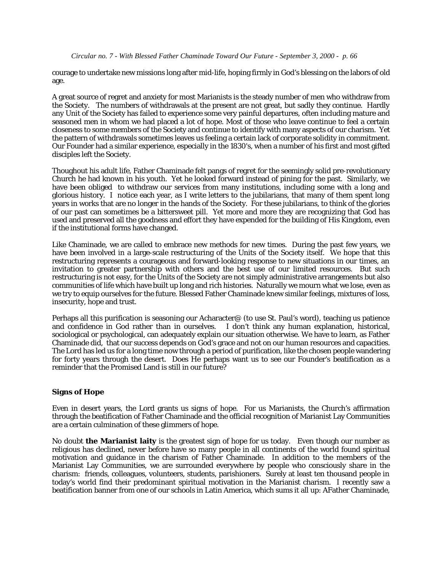courage to undertake new missions long after mid-life, hoping firmly in God's blessing on the labors of old age.

A great source of regret and anxiety for most Marianists is the steady number of men who withdraw from the Society. The numbers of withdrawals at the present are not great, but sadly they continue. Hardly any Unit of the Society has failed to experience some very painful departures, often including mature and seasoned men in whom we had placed a lot of hope. Most of those who leave continue to feel a certain closeness to some members of the Society and continue to identify with many aspects of our charism. Yet the pattern of withdrawals sometimes leaves us feeling a certain lack of corporate solidity in commitment. Our Founder had a similar experience, especially in the 1830's, when a number of his first and most gifted disciples left the Society.

Thoughout his adult life, Father Chaminade felt pangs of regret for the seemingly solid pre-revolutionary Church he had known in his youth. Yet he looked forward instead of pining for the past. Similarly, we have been obliged to withdraw our services from many institutions, including some with a long and glorious history. I notice each year, as I write letters to the jubilarians, that many of them spent long years in works that are no longer in the hands of the Society. For these jubilarians, to think of the glories of our past can sometimes be a bittersweet pill. Yet more and more they are recognizing that God has used and preserved all the goodness and effort they have expended for the building of His Kingdom, even if the institutional forms have changed.

Like Chaminade, we are called to embrace new methods for new times. During the past few years, we have been involved in a large-scale restructuring of the Units of the Society itself. We hope that this restructuring represents a courageous and forward-looking response to new situations in our times, an invitation to greater partnership with others and the best use of our limited resources. But such restructuring is not easy, for the Units of the Society are not simply administrative arrangements but also communities of life which have built up long and rich histories. Naturally we mourn what we lose, even as we try to equip ourselves for the future. Blessed Father Chaminade knew similar feelings, mixtures of loss, insecurity, hope and trust.

Perhaps all this purification is seasoning our Acharacter@ (to use St. Paul's word), teaching us patience and confidence in God rather than in ourselves. I don't think any human explanation, historical, sociological or psychological, can adequately explain our situation otherwise. We have to learn, as Father Chaminade did, that our success depends on God's grace and not on our human resources and capacities. The Lord has led us for a long time now through a period of purification, like the chosen people wandering for forty years through the desert. Does He perhaps want us to see our Founder's beatification as a reminder that the Promised Land is still in our future?

# **Signs of Hope**

Even in desert years, the Lord grants us signs of hope. For us Marianists, the Church's affirmation through the beatification of Father Chaminade and the official recognition of Marianist Lay Communities are a certain culmination of these glimmers of hope.

No doubt **the Marianist laity** is the greatest sign of hope for us today. Even though our number as religious has declined, never before have so many people in all continents of the world found spiritual motivation and guidance in the charism of Father Chaminade. In addition to the members of the Marianist Lay Communities, we are surrounded everywhere by people who consciously share in the charism: friends, colleagues, volunteers, students, parishioners. Surely at least ten thousand people in today's world find their predominant spiritual motivation in the Marianist charism. I recently saw a beatification banner from one of our schools in Latin America, which sums it all up: AFather Chaminade,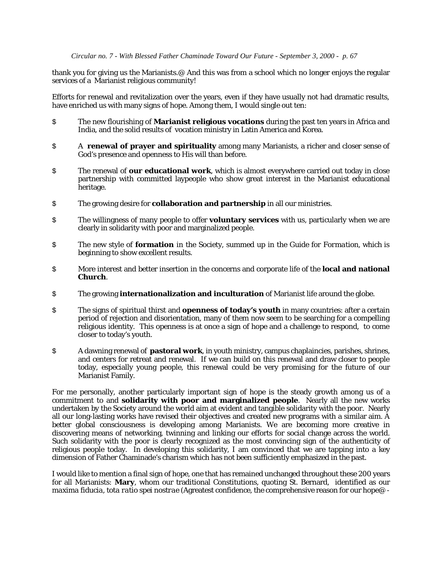thank you for giving us the Marianists.@ And this was from a school which no longer enjoys the regular services of a Marianist religious community!

Efforts for renewal and revitalization over the years, even if they have usually not had dramatic results, have enriched us with many signs of hope. Among them, I would single out ten:

- \$ The new flourishing of **Marianist religious vocations** during the past ten years in Africa and India, and the solid results of vocation ministry in Latin America and Korea.
- \$ A **renewal of prayer and spirituality** among many Marianists, a richer and closer sense of God's presence and openness to His will than before.
- \$ The renewal of **our educational work**, which is almost everywhere carried out today in close partnership with committed laypeople who show great interest in the Marianist educational heritage.
- \$ The growing desire for **collaboration and partnership** in all our ministries.
- \$ The willingness of many people to offer **voluntary services** with us, particularly when we are clearly in solidarity with poor and marginalized people.
- \$ The new style of **formation** in the Society, summed up in the *Guide for Formation*, which is beginning to show excellent results.
- \$ More interest and better insertion in the concerns and corporate life of the **local and national Church**.
- \$ The growing **internationalization and inculturation** of Marianist life around the globe.
- \$ The signs of spiritual thirst and **openness of today's youth** in many countries: after a certain period of rejection and disorientation, many of them now seem to be searching for a compelling religious identity. This openness is at once a sign of hope and a challenge to respond, to come closer to today's youth.
- \$ A dawning renewal of **pastoral work**, in youth ministry, campus chaplaincies, parishes, shrines, and centers for retreat and renewal. If we can build on this renewal and draw closer to people today, especially young people, this renewal could be very promising for the future of our Marianist Family.

For me personally, another particularly important sign of hope is the steady growth among us of a commitment to and **solidarity with poor and marginalized people**. Nearly all the new works undertaken by the Society around the world aim at evident and tangible solidarity with the poor. Nearly all our long-lasting works have revised their objectives and created new programs with a similar aim. A better global consciousness is developing among Marianists. We are becoming more creative in discovering means of networking, twinning and linking our efforts for social change across the world. Such solidarity with the poor is clearly recognized as the most convincing sign of the authenticity of religious people today. In developing this solidarity, I am convinced that we are tapping into a key dimension of Father Chaminade's charism which has not been sufficiently emphasized in the past.

I would like to mention a final sign of hope, one that has remained unchanged throughout these 200 years for all Marianists: **Mary**, whom our traditional Constitutions, quoting St. Bernard, identified as our *maxima fiducia, tota ratio spei nostrae* (Agreatest confidence, the comprehensive reason for our hope@ -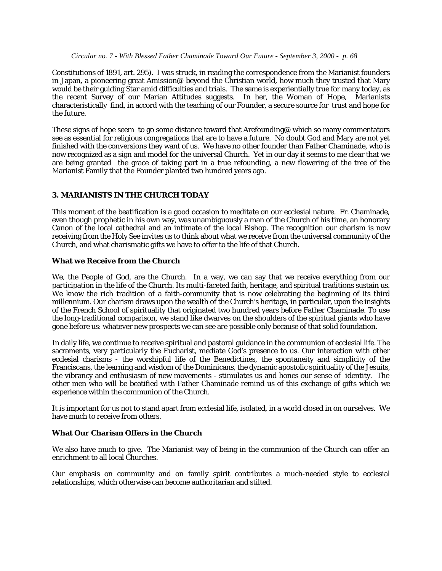Constitutions of 1891, art. 295). I was struck, in reading the correspondence from the Marianist founders in Japan, a pioneering great Amission@ beyond the Christian world, how much they trusted that Mary would be their guiding Star amid difficulties and trials. The same is experientially true for many today, as the recent Survey of our Marian Attitudes suggests. In her, the Woman of Hope, Marianists characteristically find, in accord with the teaching of our Founder, a secure source for trust and hope for the future.

These signs of hope seem to go some distance toward that Arefounding@ which so many commentators see as essential for religious congregations that are to have a future. No doubt God and Mary are not yet finished with the conversions they want of us. We have no other founder than Father Chaminade, who is now recognized as a sign and model for the universal Church. Yet in our day it seems to me clear that we are being granted the grace of taking part in a true refounding, a new flowering of the tree of the Marianist Family that the Founder planted two hundred years ago.

## **3. MARIANISTS IN THE CHURCH TODAY**

This moment of the beatification is a good occasion to meditate on our ecclesial nature. Fr. Chaminade, even though prophetic in his own way, was unambiguously a man of the Church of his time, an honorary Canon of the local cathedral and an intimate of the local Bishop. The recognition our charism is now receiving from the Holy See invites us to think about what we receive from the universal community of the Church, and what charismatic gifts we have to offer to the life of that Church.

#### **What we Receive from the Church**

We, the People of God, are the Church. In a way, we can say that we receive everything from our participation in the life of the Church. Its multi-faceted faith, heritage, and spiritual traditions sustain us. We know the rich tradition of a faith-community that is now celebrating the beginning of its third millennium. Our charism draws upon the wealth of the Church's heritage, in particular, upon the insights of the French School of spirituality that originated two hundred years before Father Chaminade. To use the long-traditional comparison, we stand like dwarves on the shoulders of the spiritual giants who have gone before us: whatever new prospects we can see are possible only because of that solid foundation.

In daily life, we continue to receive spiritual and pastoral guidance in the communion of ecclesial life. The sacraments, very particularly the Eucharist, mediate God's presence to us. Our interaction with other ecclesial charisms - the worshipful life of the Benedictines, the spontaneity and simplicity of the Franciscans, the learning and wisdom of the Dominicans, the dynamic apostolic spirituality of the Jesuits, the vibrancy and enthusiasm of new movements - stimulates us and hones our sense of identity. The other men who will be beatified with Father Chaminade remind us of this exchange of gifts which we experience within the communion of the Church.

It is important for us not to stand apart from ecclesial life, isolated, in a world closed in on ourselves. We have much to receive from others.

#### **What Our Charism Offers in the Church**

We also have much to give. The Marianist way of being in the communion of the Church can offer an enrichment to all local Churches.

Our emphasis on community and on family spirit contributes a much-needed style to ecclesial relationships, which otherwise can become authoritarian and stilted.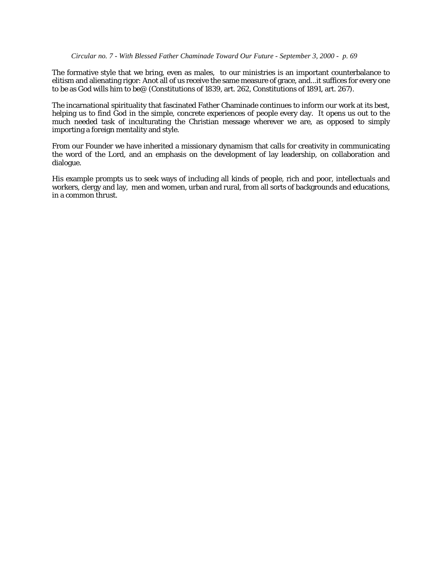The formative style that we bring, even as males, to our ministries is an important counterbalance to elitism and alienating rigor: Anot all of us receive the same measure of grace, and...it suffices for every one to be as God wills him to be@ (Constitutions of 1839, art. 262, Constitutions of 1891, art. 267).

The incarnational spirituality that fascinated Father Chaminade continues to inform our work at its best, helping us to find God in the simple, concrete experiences of people every day. It opens us out to the much needed task of inculturating the Christian message wherever we are, as opposed to simply importing a foreign mentality and style.

From our Founder we have inherited a missionary dynamism that calls for creativity in communicating the word of the Lord, and an emphasis on the development of lay leadership, on collaboration and dialogue.

His example prompts us to seek ways of including all kinds of people, rich and poor, intellectuals and workers, clergy and lay, men and women, urban and rural, from all sorts of backgrounds and educations, in a common thrust.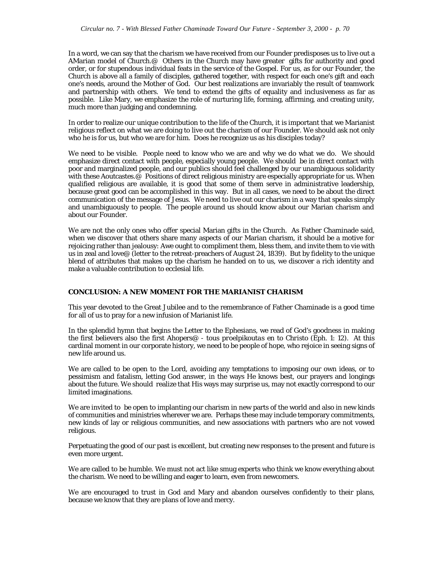In a word, we can say that the charism we have received from our Founder predisposes us to live out a AMarian model of Church.@ Others in the Church may have greater gifts for authority and good order, or for stupendous individual feats in the service of the Gospel. For us, as for our Founder, the Church is above all a family of disciples, gathered together, with respect for each one's gift and each one's needs, around the Mother of God. Our best realizations are invariably the result of teamwork and partnership with others. We tend to extend the gifts of equality and inclusiveness as far as possible. Like Mary, we emphasize the role of nurturing life, forming, affirming, and creating unity, much more than judging and condemning.

In order to realize our unique contribution to the life of the Church, it is important that we Marianist religious reflect on what we are doing to live out the charism of our Founder. We should ask not only who he is for us, but who we are for him. Does he recognize us as his disciples today?

We need to be visible. People need to know who we are and why we do what we do. We should emphasize direct contact with people, especially young people. We should be in direct contact with poor and marginalized people, and our publics should feel challenged by our unambiguous solidarity with these Aoutcastes.@ Positions of direct religious ministry are especially appropriate for us. When qualified religious are available, it is good that some of them serve in administrative leadership, because great good can be accomplished in this way. But in all cases, we need to be about the direct communication of the message of Jesus. We need to live out our charism in a way that speaks simply and unambiguously to people. The people around us should know about our Marian charism and about our Founder.

We are not the only ones who offer special Marian gifts in the Church. As Father Chaminade said, when we discover that others share many aspects of our Marian charism, it should be a motive for rejoicing rather than jealousy: Awe ought to compliment them, bless them, and invite them to vie with us in zeal and love@ (letter to the retreat-preachers of August 24, 1839). But by fidelity to the unique blend of attributes that makes up the charism he handed on to us, we discover a rich identity and make a valuable contribution to ecclesial life.

#### **CONCLUSION: A NEW MOMENT FOR THE MARIANIST CHARISM**

This year devoted to the Great Jubilee and to the remembrance of Father Chaminade is a good time for all of us to pray for a new infusion of Marianist life.

In the splendid hymn that begins the Letter to the Ephesians, we read of God's goodness in making the first believers also the first Ahopers@ - *tous proelpikoutas en to Christo* (Eph. 1: 12). At this cardinal moment in our corporate history, we need to be people of hope, who rejoice in seeing signs of new life around us.

We are called to be open to the Lord, avoiding any temptations to imposing our own ideas, or to pessimism and fatalism, letting God answer, in the ways He knows best, our prayers and longings about the future. We should realize that His ways may surprise us, may not exactly correspond to our limited imaginations.

We are invited to be open to implanting our charism in new parts of the world and also in new kinds of communities and ministries wherever we are. Perhaps these may include temporary commitments, new kinds of lay or religious communities, and new associations with partners who are not vowed religious.

Perpetuating the good of our past is excellent, but creating new responses to the present and future is even more urgent.

We are called to be humble. We must not act like smug experts who think we know everything about the charism. We need to be willing and eager to learn, even from newcomers.

We are encouraged to trust in God and Mary and abandon ourselves confidently to their plans, because we know that they are plans of love and mercy.